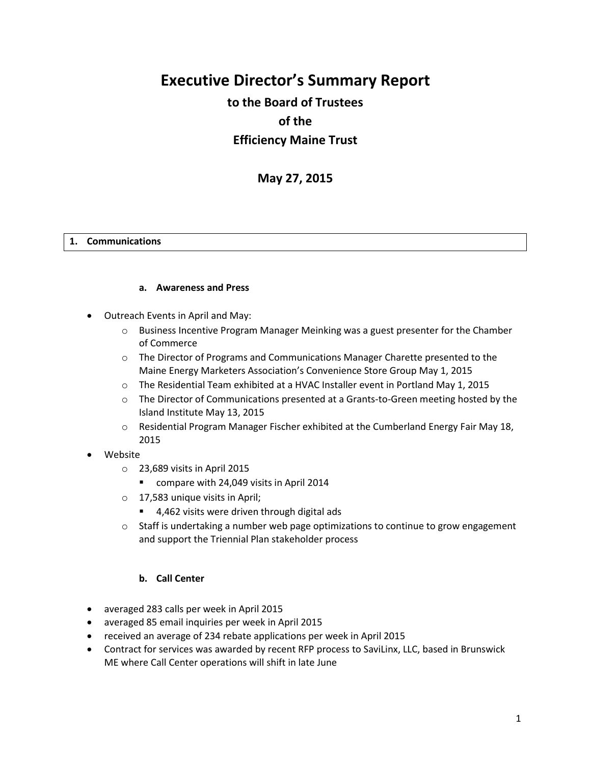# **Executive Director's Summary Report**

## **to the Board of Trustees of the Efficiency Maine Trust**

## **May 27, 2015**

#### **1. Communications**

#### **a. Awareness and Press**

- Outreach Events in April and May:
	- $\circ$  Business Incentive Program Manager Meinking was a guest presenter for the Chamber of Commerce
	- o The Director of Programs and Communications Manager Charette presented to the Maine Energy Marketers Association's Convenience Store Group May 1, 2015
	- $\circ$  The Residential Team exhibited at a HVAC Installer event in Portland May 1, 2015
	- $\circ$  The Director of Communications presented at a Grants-to-Green meeting hosted by the Island Institute May 13, 2015
	- $\circ$  Residential Program Manager Fischer exhibited at the Cumberland Energy Fair May 18, 2015
- Website
	- o 23,689 visits in April 2015
		- compare with 24,049 visits in April 2014
	- o 17,583 unique visits in April;
		- 4,462 visits were driven through digital ads
	- $\circ$  Staff is undertaking a number web page optimizations to continue to grow engagement and support the Triennial Plan stakeholder process

#### **b. Call Center**

- averaged 283 calls per week in April 2015
- averaged 85 email inquiries per week in April 2015
- received an average of 234 rebate applications per week in April 2015
- Contract for services was awarded by recent RFP process to SaviLinx, LLC, based in Brunswick ME where Call Center operations will shift in late June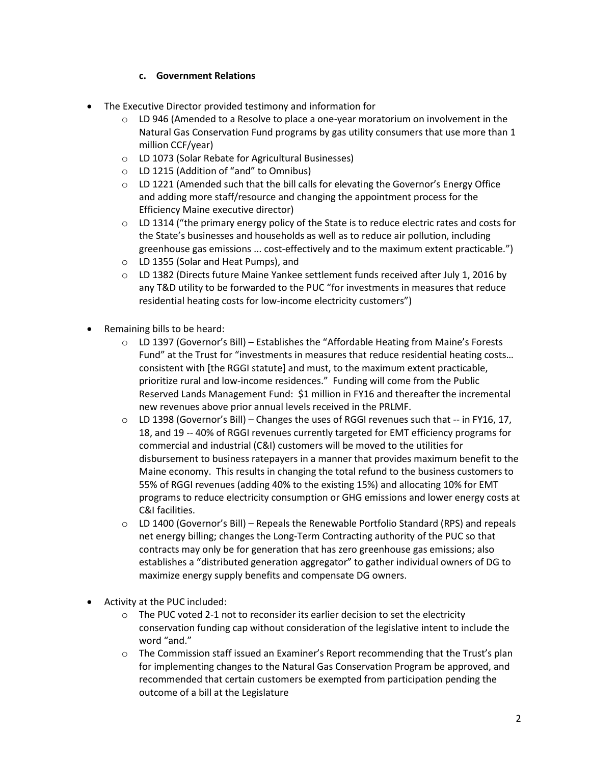## **c. Government Relations**

- The Executive Director provided testimony and information for
	- $\circ$  LD 946 (Amended to a Resolve to place a one-year moratorium on involvement in the Natural Gas Conservation Fund programs by gas utility consumers that use more than 1 million CCF/year)
	- o LD 1073 (Solar Rebate for Agricultural Businesses)
	- o LD 1215 (Addition of "and" to Omnibus)
	- o LD 1221 (Amended such that the bill calls for elevating the Governor's Energy Office and adding more staff/resource and changing the appointment process for the Efficiency Maine executive director)
	- $\circ$  LD 1314 ("the primary energy policy of the State is to reduce electric rates and costs for the State's businesses and households as well as to reduce air pollution, including greenhouse gas emissions ... cost-effectively and to the maximum extent practicable.")
	- o LD 1355 (Solar and Heat Pumps), and
	- $\circ$  LD 1382 (Directs future Maine Yankee settlement funds received after July 1, 2016 by any T&D utility to be forwarded to the PUC "for investments in measures that reduce residential heating costs for low-income electricity customers")
- Remaining bills to be heard:
	- o LD 1397 (Governor's Bill) Establishes the "Affordable Heating from Maine's Forests Fund" at the Trust for "investments in measures that reduce residential heating costs… consistent with [the RGGI statute] and must, to the maximum extent practicable, prioritize rural and low-income residences." Funding will come from the Public Reserved Lands Management Fund: \$1 million in FY16 and thereafter the incremental new revenues above prior annual levels received in the PRLMF.
	- $\circ$  LD 1398 (Governor's Bill) Changes the uses of RGGI revenues such that  $-$  in FY16, 17, 18, and 19 -- 40% of RGGI revenues currently targeted for EMT efficiency programs for commercial and industrial (C&I) customers will be moved to the utilities for disbursement to business ratepayers in a manner that provides maximum benefit to the Maine economy. This results in changing the total refund to the business customers to 55% of RGGI revenues (adding 40% to the existing 15%) and allocating 10% for EMT programs to reduce electricity consumption or GHG emissions and lower energy costs at C&I facilities.
	- $\circ$  LD 1400 (Governor's Bill) Repeals the Renewable Portfolio Standard (RPS) and repeals net energy billing; changes the Long-Term Contracting authority of the PUC so that contracts may only be for generation that has zero greenhouse gas emissions; also establishes a "distributed generation aggregator" to gather individual owners of DG to maximize energy supply benefits and compensate DG owners.
- Activity at the PUC included:
	- o The PUC voted 2-1 not to reconsider its earlier decision to set the electricity conservation funding cap without consideration of the legislative intent to include the word "and."
	- $\circ$  The Commission staff issued an Examiner's Report recommending that the Trust's plan for implementing changes to the Natural Gas Conservation Program be approved, and recommended that certain customers be exempted from participation pending the outcome of a bill at the Legislature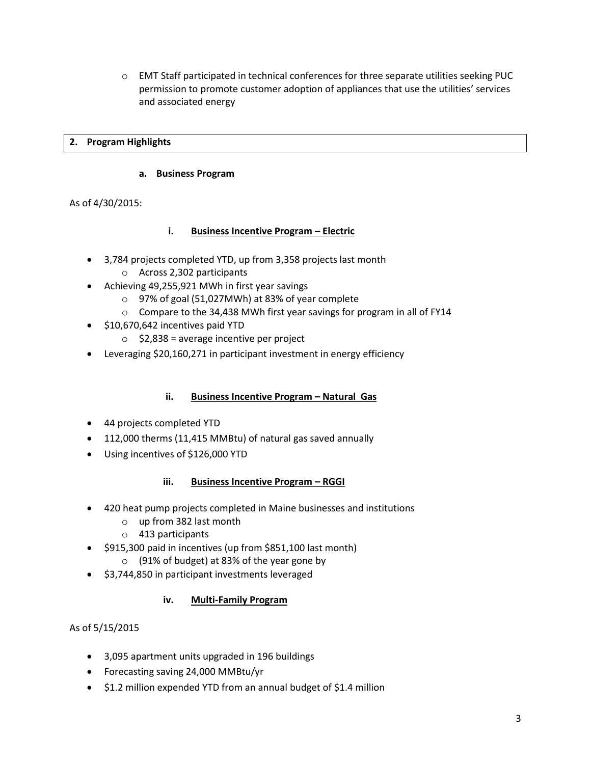$\circ$  EMT Staff participated in technical conferences for three separate utilities seeking PUC permission to promote customer adoption of appliances that use the utilities' services and associated energy

## **2. Program Highlights**

#### **a. Business Program**

As of 4/30/2015:

## **i. Business Incentive Program – Electric**

- 3,784 projects completed YTD, up from 3,358 projects last month
	- o Across 2,302 participants
- Achieving 49,255,921 MWh in first year savings
	- o 97% of goal (51,027MWh) at 83% of year complete
	- o Compare to the 34,438 MWh first year savings for program in all of FY14
- $\bullet$  \$10,670,642 incentives paid YTD
	- $\circ$  \$2,838 = average incentive per project
- Leveraging \$20,160,271 in participant investment in energy efficiency

#### **ii. Business Incentive Program – Natural Gas**

- 44 projects completed YTD
- 112,000 therms (11,415 MMBtu) of natural gas saved annually
- Using incentives of \$126,000 YTD

#### **iii. Business Incentive Program - RGGI**

- 420 heat pump projects completed in Maine businesses and institutions
	- o up from 382 last month
	- o 413 participants
- $\bullet$  \$915,300 paid in incentives (up from \$851,100 last month)
	- o (91% of budget) at 83% of the year gone by
- \$3,744,850 in participant investments leveraged

## **iv. Multi-Family Program**

## As of 5/15/2015

- 3,095 apartment units upgraded in 196 buildings
- Forecasting saving 24,000 MMBtu/yr
- $\bullet$  \$1.2 million expended YTD from an annual budget of \$1.4 million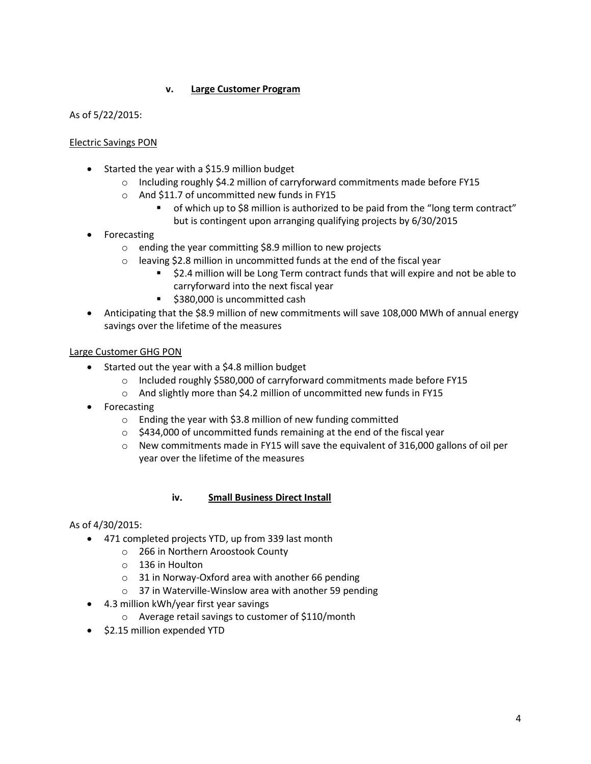## **v. Large Customer Program**

As of 5/22/2015:

#### Electric Savings PON

- Started the year with a \$15.9 million budget
	- o Including roughly \$4.2 million of carryforward commitments made before FY15
	- o And \$11.7 of uncommitted new funds in FY15
		- of which up to \$8 million is authorized to be paid from the "long term contract" but is contingent upon arranging qualifying projects by 6/30/2015
- Forecasting
	- o ending the year committing \$8.9 million to new projects
	- o leaving \$2.8 million in uncommitted funds at the end of the fiscal year
		- \$2.4 million will be Long Term contract funds that will expire and not be able to carryforward into the next fiscal year
		- \$380,000 is uncommitted cash
- Anticipating that the \$8.9 million of new commitments will save 108,000 MWh of annual energy savings over the lifetime of the measures

#### Large Customer GHG PON

- Started out the year with a \$4.8 million budget
	- o Included roughly \$580,000 of carryforward commitments made before FY15
	- o And slightly more than \$4.2 million of uncommitted new funds in FY15
- Forecasting
	- o Ending the year with \$3.8 million of new funding committed
	- $\circ$  \$434,000 of uncommitted funds remaining at the end of the fiscal year
	- $\circ$  New commitments made in FY15 will save the equivalent of 316,000 gallons of oil per year over the lifetime of the measures

#### **iv. Small Business Direct Install**

#### As of 4/30/2015:

- 471 completed projects YTD, up from 339 last month
	- o 266 in Northern Aroostook County
		- o 136 in Houlton
		- o 31 in Norway-Oxford area with another 66 pending
		- o 37 in Waterville-Winslow area with another 59 pending
- 4.3 million kWh/year first year savings
	- o Average retail savings to customer of \$110/month
- $\bullet$  \$2.15 million expended YTD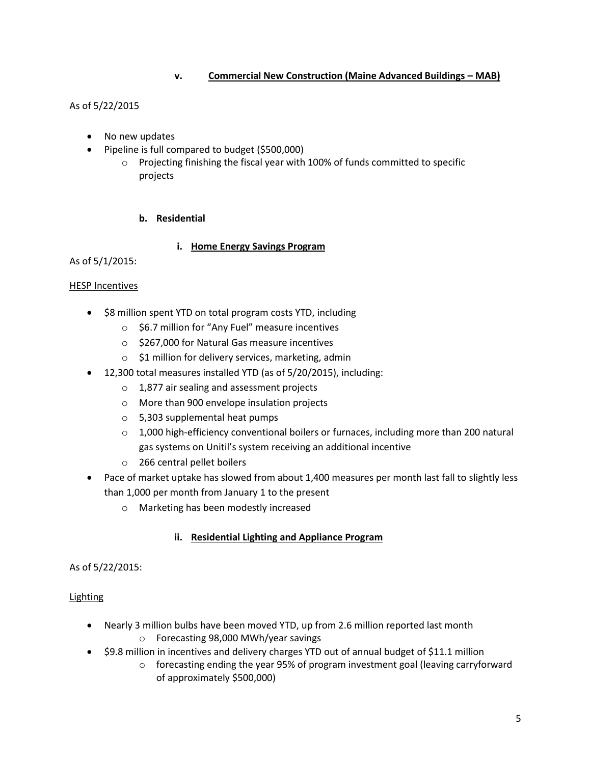## **v. Commercial New Construction (Maine Advanced Buildings – MAB)**

## As of 5/22/2015

- No new updates
- Pipeline is full compared to budget (\$500,000)
	- $\circ$  Projecting finishing the fiscal year with 100% of funds committed to specific projects

#### **b. Residential**

#### **i. Home Energy Savings Program**

As of 5/1/2015:

#### **HESP Incentives**

- \$8 million spent YTD on total program costs YTD, including
	- o \$6.7 million for "Any Fuel" measure incentives
	- o \$267,000 for Natural Gas measure incentives
	- o \$1 million for delivery services, marketing, admin
- 12,300 total measures installed YTD (as of 5/20/2015), including:
	- o 1,877 air sealing and assessment projects
	- o More than 900 envelope insulation projects
	- o 5,303 supplemental heat pumps
	- $\circ$  1,000 high-efficiency conventional boilers or furnaces, including more than 200 natural gas systems on Unitil's system receiving an additional incentive
	- o 266 central pellet boilers
- Pace of market uptake has slowed from about 1,400 measures per month last fall to slightly less than 1,000 per month from January 1 to the present
	- o Marketing has been modestly increased

#### **ii. Residential Lighting and Appliance Program**

#### As of 5/22/2015:

#### **Lighting**

- Nearly 3 million bulbs have been moved YTD, up from 2.6 million reported last month o Forecasting 98,000 MWh/year savings
- \$9.8 million in incentives and delivery charges YTD out of annual budget of \$11.1 million
	- $\circ$  forecasting ending the year 95% of program investment goal (leaving carryforward of approximately \$500,000)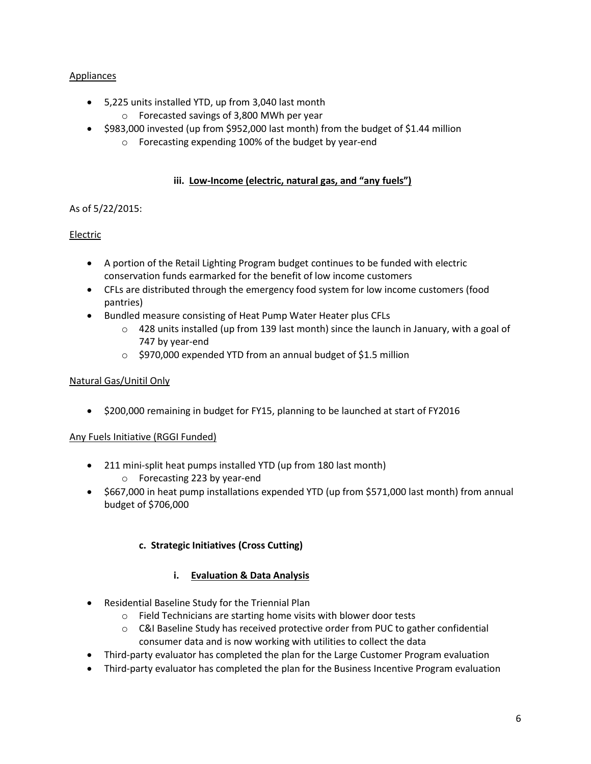## Appliances

- 5,225 units installed YTD, up from 3,040 last month
	- o Forecasted savings of 3,800 MWh per year
- $\bullet$  \$983,000 invested (up from \$952,000 last month) from the budget of \$1.44 million
	- o Forecasting expending 100% of the budget by year-end

## **iii. Low-Income (electric, natural gas, and "any fuels")**

## As of 5/22/2015:

## Electric

- A portion of the Retail Lighting Program budget continues to be funded with electric conservation funds earmarked for the benefit of low income customers
- CFLs are distributed through the emergency food system for low income customers (food pantries)
- Bundled measure consisting of Heat Pump Water Heater plus CFLs
	- $\circ$  428 units installed (up from 139 last month) since the launch in January, with a goal of 747 by year-end
	- o \$970,000 expended YTD from an annual budget of \$1.5 million

## Natural Gas/Unitil Only

\$200,000 remaining in budget for FY15, planning to be launched at start of FY2016

## Any Fuels Initiative (RGGI Funded)

- 211 mini-split heat pumps installed YTD (up from 180 last month) o Forecasting 223 by year-end
- \$667,000 in heat pump installations expended YTD (up from \$571,000 last month) from annual budget of \$706,000

## **c. Strategic Initiatives (Cross Cutting)**

## **i. Evaluation & Data Analysis**

- Residential Baseline Study for the Triennial Plan
	- o Field Technicians are starting home visits with blower door tests
	- $\circ$  C&I Baseline Study has received protective order from PUC to gather confidential consumer data and is now working with utilities to collect the data
- Third-party evaluator has completed the plan for the Large Customer Program evaluation
- Third-party evaluator has completed the plan for the Business Incentive Program evaluation